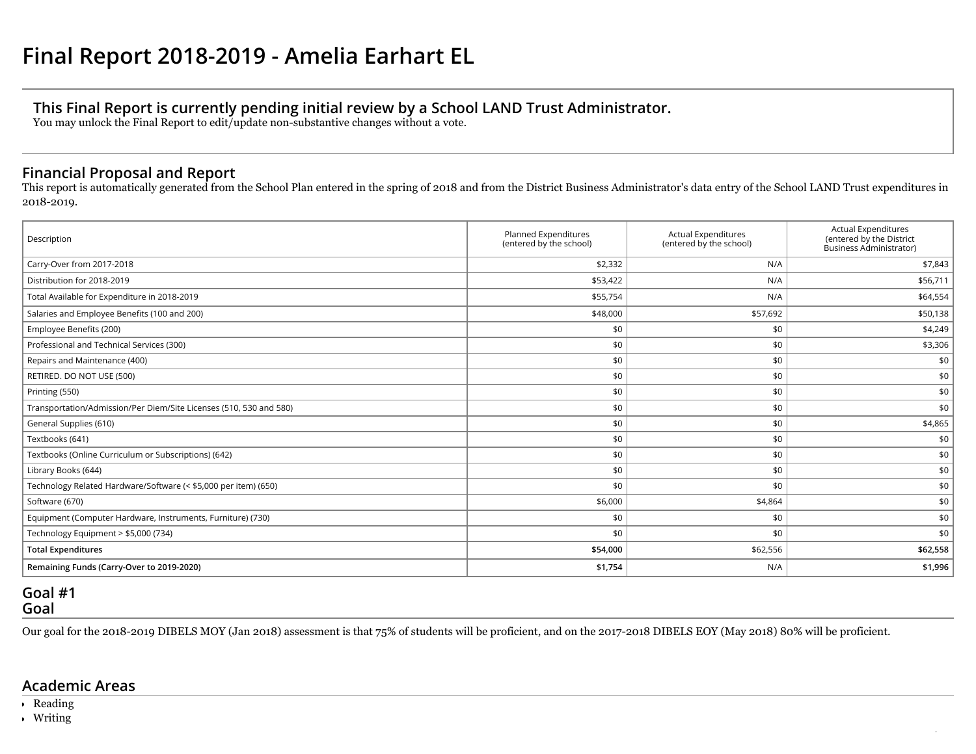# **This Final Report is currently pending initial review by a School LAND Trust Administrator.**

You may unlock the Final Report to edit/update non-substantive changes without a vote.

## **Financial Proposal and Report**

This report is automatically generated from the School Plan entered in the spring of 2018 and from the District Business Administrator's data entry of the School LAND Trust expenditures in 2018-2019.

| Description                                                        | Planned Expenditures<br>(entered by the school) | <b>Actual Expenditures</b><br>(entered by the school) | <b>Actual Expenditures</b><br>(entered by the District<br>Business Administrator) |  |
|--------------------------------------------------------------------|-------------------------------------------------|-------------------------------------------------------|-----------------------------------------------------------------------------------|--|
| Carry-Over from 2017-2018                                          | \$2,332                                         | N/A                                                   | \$7,843                                                                           |  |
| Distribution for 2018-2019                                         | \$53,422                                        | N/A                                                   | \$56,711                                                                          |  |
| Total Available for Expenditure in 2018-2019                       | \$55,754                                        | N/A                                                   | \$64,554                                                                          |  |
| Salaries and Employee Benefits (100 and 200)                       | \$48,000                                        | \$57,692                                              | \$50,138                                                                          |  |
| Employee Benefits (200)                                            | \$0                                             | \$0                                                   | \$4,249                                                                           |  |
| Professional and Technical Services (300)                          | \$0                                             | \$0                                                   | \$3,306                                                                           |  |
| Repairs and Maintenance (400)                                      | \$0                                             | \$0                                                   | \$0                                                                               |  |
| RETIRED. DO NOT USE (500)                                          | \$0                                             | \$0                                                   | \$0                                                                               |  |
| Printing (550)                                                     | \$0                                             | \$0                                                   | \$0                                                                               |  |
| Transportation/Admission/Per Diem/Site Licenses (510, 530 and 580) | \$0                                             | \$0                                                   | \$0                                                                               |  |
| General Supplies (610)                                             | \$0                                             | \$0                                                   | \$4,865                                                                           |  |
| Textbooks (641)                                                    | \$0                                             | \$0                                                   | \$0                                                                               |  |
| Textbooks (Online Curriculum or Subscriptions) (642)               | \$0                                             | \$0                                                   | \$0                                                                               |  |
| Library Books (644)                                                | \$0                                             | \$0                                                   | \$0                                                                               |  |
| Technology Related Hardware/Software (< \$5,000 per item) (650)    | \$0                                             | \$0                                                   | \$0                                                                               |  |
| Software (670)                                                     | \$6,000                                         | \$4,864                                               | \$0                                                                               |  |
| Equipment (Computer Hardware, Instruments, Furniture) (730)        | \$0                                             | \$0                                                   | \$0                                                                               |  |
| Technology Equipment > \$5,000 (734)                               | \$0                                             | \$0                                                   | \$0                                                                               |  |
| <b>Total Expenditures</b>                                          | \$54,000                                        | \$62,556                                              | \$62,558                                                                          |  |
| Remaining Funds (Carry-Over to 2019-2020)                          | \$1,754                                         | N/A                                                   | \$1,996                                                                           |  |

## **Goal #1 Goal**

Our goal for the 2018-2019 DIBELS MOY (Jan 2018) assessment is that 75% of students will be proficient, and on the 2017-2018 DIBELS EOY (May 2018) 80% will be proficient.

/

## **Academic Areas**

- Reading
- Writing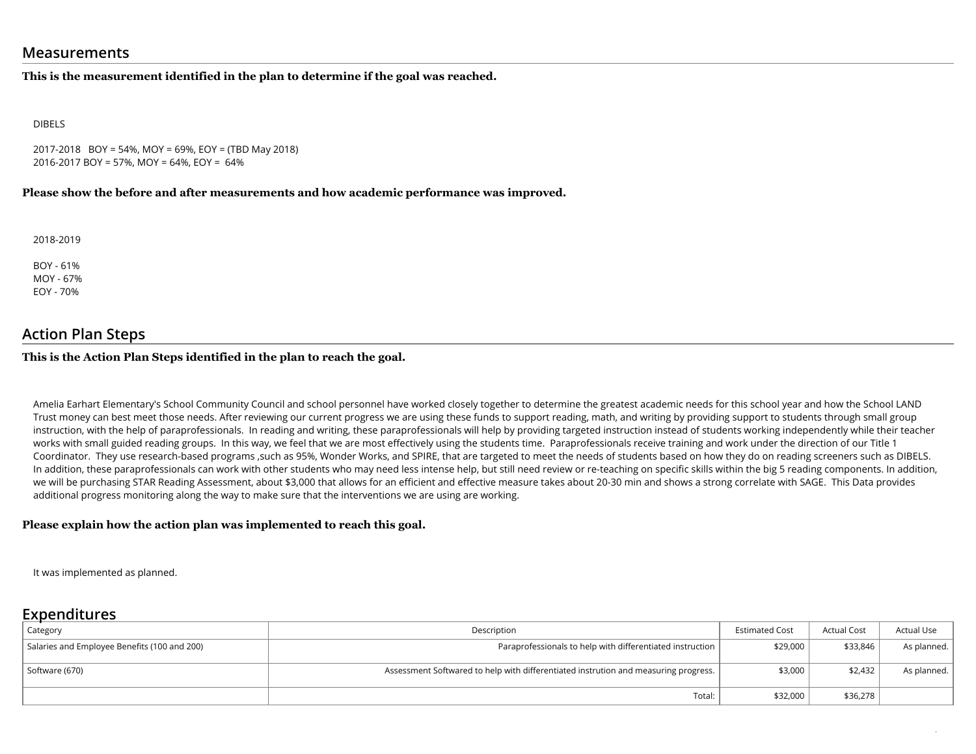### **Measurements**

#### **This is the measurement identified in the plan to determine if the goal was reached.**

DIBELS

2017-2018 BOY = 54%, MOY = 69%, EOY = (TBD May 2018) 2016-2017 BOY = 57%, MOY = 64%, EOY = 64%

#### **Please show the before and after measurements and how academic performance was improved.**

2018-2019

BOY - 61% MOY - 67% EOY - 70%

### **Action Plan Steps**

#### **This is the Action Plan Steps identified in the plan to reach the goal.**

Amelia Earhart Elementary's School Community Council and school personnel have worked closely together to determine the greatest academic needs for this school year and how the School LAND Trust money can best meet those needs. After reviewing our current progress we are using these funds to support reading, math, and writing by providing support to students through small group instruction, with the help of paraprofessionals. In reading and writing, these paraprofessionals will help by providing targeted instruction instead of students working independently while their teacher works with small guided reading groups. In this way, we feel that we are most effectively using the students time. Paraprofessionals receive training and work under the direction of our Title 1 Coordinator. They use research-based programs ,such as 95%, Wonder Works, and SPIRE, that are targeted to meet the needs of students based on how they do on reading screeners such as DIBELS. In addition, these paraprofessionals can work with other students who may need less intense help, but still need review or re-teaching on specific skills within the big 5 reading components. In addition, we will be purchasing STAR Reading Assessment, about \$3,000 that allows for an efficient and effective measure takes about 20-30 min and shows a strong correlate with SAGE. This Data provides additional progress monitoring along the way to make sure that the interventions we are using are working.

#### **Please explain how the action plan was implemented to reach this goal.**

It was implemented as planned.

### **Expenditures**

| Category                                     | Description                                                                         | <b>Estimated Cost</b> | <b>Actual Cost</b> | <b>Actual Use</b> |
|----------------------------------------------|-------------------------------------------------------------------------------------|-----------------------|--------------------|-------------------|
| Salaries and Employee Benefits (100 and 200) | Paraprofessionals to help with differentiated instruction                           | \$29,000              | \$33.846           | As planned.       |
| Software (670)                               | Assessment Softwared to help with differentiated instrution and measuring progress. | \$3,000               | \$2,432            | As planned.       |
|                                              | Total:                                                                              | \$32,000              | \$36,278           |                   |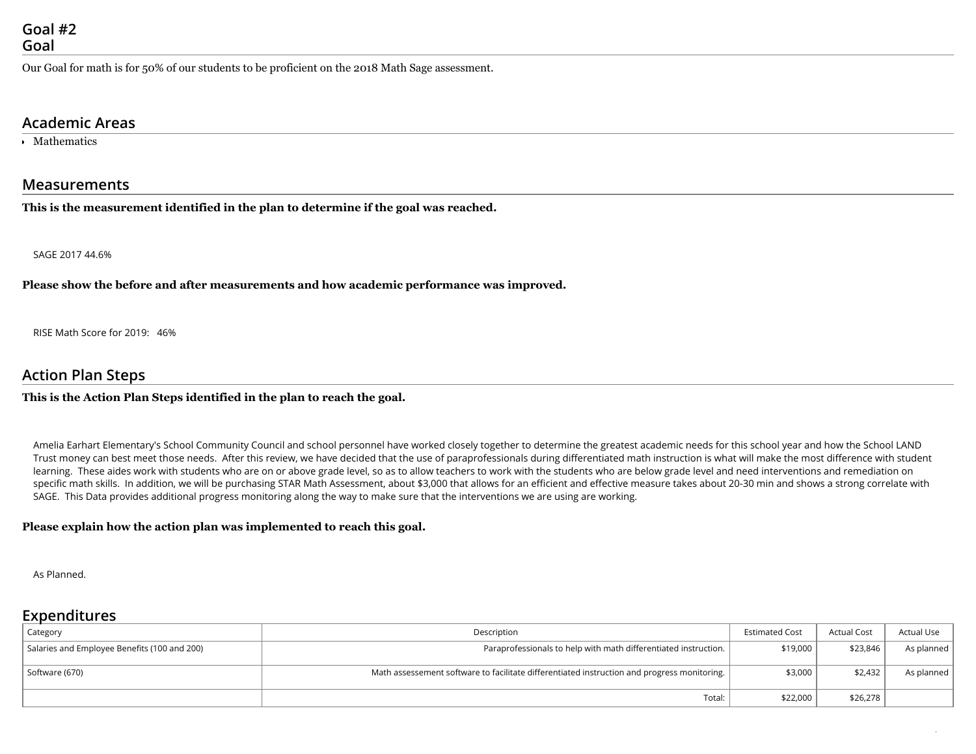Our Goal for math is for 50% of our students to be proficient on the 2018 Math Sage assessment.

### **Academic Areas**

Mathematics

#### **Measurements**

**This is the measurement identified in the plan to determine if the goal was reached.**

SAGE 2017 44.6%

**Please show the before and after measurements and how academic performance was improved.**

RISE Math Score for 2019: 46%

### **Action Plan Steps**

#### **This is the Action Plan Steps identified in the plan to reach the goal.**

Amelia Earhart Elementary's School Community Council and school personnel have worked closely together to determine the greatest academic needs for this school year and how the School LAND Trust money can best meet those needs. After this review, we have decided that the use of paraprofessionals during differentiated math instruction is what will make the most difference with student learning. These aides work with students who are on or above grade level, so as to allow teachers to work with the students who are below grade level and need interventions and remediation on specific math skills. In addition, we will be purchasing STAR Math Assessment, about \$3,000 that allows for an efficient and effective measure takes about 20-30 min and shows a strong correlate with SAGE. This Data provides additional progress monitoring along the way to make sure that the interventions we are using are working.

#### **Please explain how the action plan was implemented to reach this goal.**

As Planned.

## **Expenditures**

| Category                                     | Description                                                                                 | <b>Estimated Cost</b> | <b>Actual Cost</b> | Actual Use |
|----------------------------------------------|---------------------------------------------------------------------------------------------|-----------------------|--------------------|------------|
| Salaries and Employee Benefits (100 and 200) | Paraprofessionals to help with math differentiated instruction.                             |                       | \$23,846           | As planned |
| Software (670)                               | Math assessement software to facilitate differentiated instruction and progress monitoring. | \$3,000               | \$2,432            | As planned |
|                                              | Total:                                                                                      | \$22,000              | \$26,278           |            |